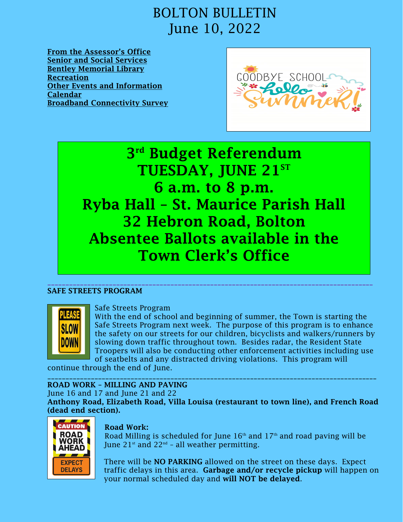[From the Assessor's Office](#page-1-0) [Senior and Social Services](#page-1-1) [Bentley Memorial Library](#page-2-0) [Recreation](#page-3-0) [Other Events and Information](#page-5-0) [Calendar](#page-6-0)  [Broadband Connectivity Survey](#page-7-0)



3<sup>rd</sup> Budget Referendum TUESDAY, JUNE  $21^{ST}$ 6 a.m. to 8 p.m. Ryba Hall – St. Maurice Parish Hall 32 Hebron Road, Bolton Absentee Ballots available in the Town Clerk's Office

### \_\_\_\_\_\_\_\_\_\_\_\_\_\_\_\_\_\_\_\_\_\_\_\_\_\_\_\_\_\_\_\_\_\_\_\_\_\_\_\_\_\_\_\_\_\_\_\_\_\_\_\_\_\_\_\_\_\_\_\_\_\_\_\_\_\_\_\_\_\_\_\_\_\_\_\_\_\_\_\_\_\_\_\_\_\_\_\_\_\_ SAFE STREETS PROGRAM



### Safe Streets Program

With the end of school and beginning of summer, the Town is starting the Safe Streets Program next week. The purpose of this program is to enhance the safety on our streets for our children, bicyclists and walkers/runners by slowing down traffic throughout town. Besides radar, the Resident State Troopers will also be conducting other enforcement activities including use of seatbelts and any distracted driving violations. This program will

continue through the end of June.

### \_\_\_\_\_\_\_\_\_\_\_\_\_\_\_\_\_\_\_\_\_\_\_\_\_\_\_\_\_\_\_\_\_\_\_\_\_\_\_\_\_\_\_\_\_\_\_\_\_\_\_\_\_\_\_\_\_\_\_\_\_\_\_\_\_\_\_\_\_\_\_\_\_\_\_\_\_\_\_\_\_\_\_\_\_\_\_\_\_\_\_ ROAD WORK – MILLING AND PAVING

June 16 and 17 and June 21 and 22

Anthony Road, Elizabeth Road, Villa Louisa (restaurant to town line), and French Road (dead end section).



**ROAD** Road Milling is scheduled for June  $16<sup>th</sup>$  and  $17<sup>th</sup>$  and road paving will be **WORK** June  $21^{st}$  and  $22^{nd}$  - all weather permitting.

> There will be **NO PARKING** allowed on the street on these days. Expect traffic delays in this area. Garbage and/or recycle pickup will happen on your normal scheduled day and will NOT be delayed.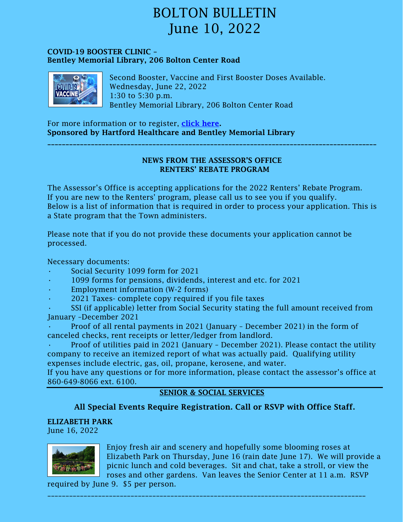### COVID-19 BOOSTER CLINIC – Bentley Memorial Library, 206 Bolton Center Road



Second Booster, Vaccine and First Booster Doses Available. Wednesday, June 22, 2022 1:30 to 5:30 p.m. Bentley Memorial Library, 206 Bolton Center Road

For more information or to register, [click here.](https://town.boltonct.org/departments/bentley-memorial-library/library-programs) Sponsored by Hartford Healthcare and Bentley Memorial Library

### NEWS FROM THE ASSESSOR'S OFFICE RENTERS' REBATE PROGRAM

<span id="page-1-0"></span>\_\_\_\_\_\_\_\_\_\_\_\_\_\_\_\_\_\_\_\_\_\_\_\_\_\_\_\_\_\_\_\_\_\_\_\_\_\_\_\_\_\_\_\_\_\_\_\_\_\_\_\_\_\_\_\_\_\_\_\_\_\_\_\_\_\_\_\_\_\_\_\_\_\_\_\_\_\_\_\_\_\_\_\_\_\_\_\_\_\_\_

The Assessor's Office is accepting applications for the 2022 Renters' Rebate Program. If you are new to the Renters' program, please call us to see you if you qualify. Below is a list of information that is required in order to process your application. This is a State program that the Town administers.

Please note that if you do not provide these documents your application cannot be processed.

Necessary documents:

- Social Security 1099 form for 2021
- 1099 forms for pensions, dividends, interest and etc. for 2021
- Employment information (W-2 forms)
- 2021 Taxes- complete copy required if you file taxes

• SSI (if applicable) letter from Social Security stating the full amount received from January –December 2021

• Proof of all rental payments in 2021 (January – December 2021) in the form of canceled checks, rent receipts or letter/ledger from landlord.

• Proof of utilities paid in 2021 (January – December 2021). Please contact the utility company to receive an itemized report of what was actually paid. Qualifying utility expenses include electric, gas, oil, propane, kerosene, and water.

If you have any questions or for more information, please contact the assessor's office at 860-649-8066 ext. 6100.

### <span id="page-1-1"></span>SENIOR & SOCIAL SERVICES

### All Special Events Require Registration. Call or RSVP with Office Staff.

### ELIZABETH PARK

June 16, 2022



Enjoy fresh air and scenery and hopefully some blooming roses at Elizabeth Park on Thursday, June 16 (rain date June 17). We will provide a picnic lunch and cold beverages. Sit and chat, take a stroll, or view the roses and other gardens. Van leaves the Senior Center at 11 a.m. RSVP

required by June 9. \$5 per person.

\_\_\_\_\_\_\_\_\_\_\_\_\_\_\_\_\_\_\_\_\_\_\_\_\_\_\_\_\_\_\_\_\_\_\_\_\_\_\_\_\_\_\_\_\_\_\_\_\_\_\_\_\_\_\_\_\_\_\_\_\_\_\_\_\_\_\_\_\_\_\_\_\_\_\_\_\_\_\_\_\_\_\_\_\_\_\_\_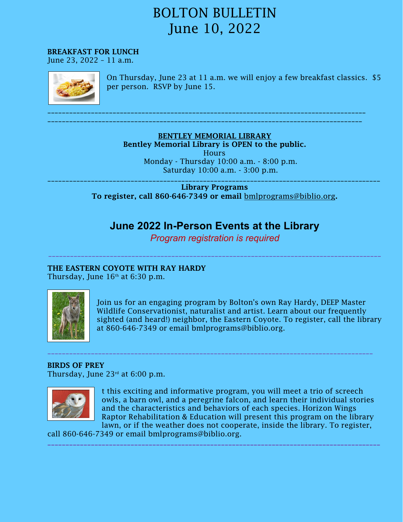BREAKFAST FOR LUNCH

June 23, 2022 – 11 a.m.



On Thursday, June 23 at 11 a.m. we will enjoy a few breakfast classics. \$5 per person. RSVP by June 15.

BENTLEY MEMORIAL LIBRARY Bentley Memorial Library is OPEN to the public. **Hours** Monday - Thursday 10:00 a.m. - 8:00 p.m. Saturday 10:00 a.m. - 3:00 p.m.

<span id="page-2-0"></span>\_\_\_\_\_\_\_\_\_\_\_\_\_\_\_\_\_\_\_\_\_\_\_\_\_\_\_\_\_\_\_\_\_\_\_\_\_\_\_\_\_\_\_\_\_\_\_\_\_\_\_\_\_\_\_\_\_\_\_\_\_\_\_\_\_\_\_\_\_\_\_\_\_\_\_\_\_\_\_\_\_\_\_\_\_\_\_

\_\_\_\_\_\_\_\_\_\_\_\_\_\_\_\_\_\_\_\_\_\_\_\_\_\_\_\_\_\_\_\_\_\_\_\_\_\_\_\_\_\_\_\_\_\_\_\_\_\_\_\_\_\_\_\_\_\_\_\_\_\_\_\_\_\_\_\_\_\_\_\_\_\_\_\_\_\_\_\_\_\_\_\_\_\_\_\_\_\_\_\_ Library Programs To register, call 860-646-7349 or email [bmlprograms@biblio.org](mailto:bmlprograms@biblio.org).

### **June 2022 In-Person Events at the Library**

*Program registration is required*

\_\_\_\_\_\_\_\_\_\_\_\_\_\_\_\_\_\_\_\_\_\_\_\_\_\_\_\_\_\_\_\_\_\_\_\_\_\_\_\_\_\_\_\_\_\_\_\_\_\_\_\_\_\_\_\_\_\_\_\_\_\_\_\_\_\_\_\_\_\_\_\_\_\_\_\_\_\_\_\_\_\_\_\_\_\_\_\_\_\_\_\_

\_\_\_\_\_\_\_\_\_\_\_\_\_\_\_\_\_\_\_\_\_\_\_\_\_\_\_\_\_\_\_\_\_\_\_\_\_\_\_\_\_\_\_\_\_\_\_\_\_\_\_\_\_\_\_\_\_\_\_\_\_\_\_\_\_\_\_\_\_\_\_\_\_\_\_\_\_\_\_\_\_\_\_\_\_\_\_\_\_\_

\_\_\_\_\_\_\_\_\_\_\_\_\_\_\_\_\_\_\_\_\_\_\_\_\_\_\_\_\_\_\_\_\_\_\_\_\_\_\_\_\_\_\_\_\_\_\_\_\_\_\_\_\_\_\_\_\_\_\_\_\_\_\_\_\_\_\_\_\_\_\_\_\_\_\_\_\_\_\_\_\_\_\_\_\_\_\_\_\_\_\_\_

### THE EASTERN COYOTE WITH RAY HARDY

Thursday, June  $16<sup>th</sup>$  at 6:30 p.m.



Join us for an engaging program by Bolton's own Ray Hardy, DEEP Master Wildlife Conservationist, naturalist and artist. Learn about our frequently sighted (and heard!) neighbor, the Eastern Coyote. To register, call the library at 860-646-7349 or email bmlprograms@biblio.org.

### BIRDS OF PREY

Thursday, June  $23<sup>rd</sup>$  at 6:00 p.m.



t this exciting and informative program, you will meet a trio of screech owls, a barn owl, and a peregrine falcon, and learn their individual stories and the characteristics and behaviors of each species. Horizon Wings Raptor Rehabilitation & Education will present this program on the library lawn, or if the weather does not cooperate, inside the library. To register,

call 860-646-7349 or email bmlprograms@biblio.org.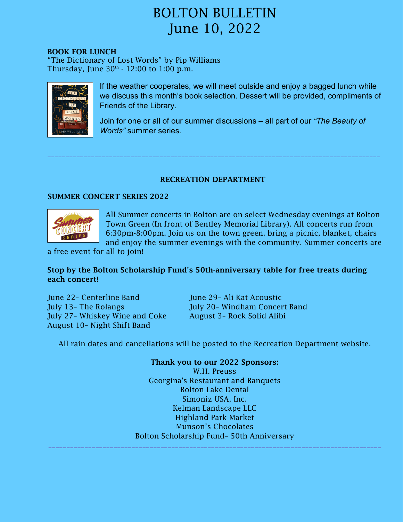### BOOK FOR LUNCH

"The Dictionary of Lost Words" by Pip Williams Thursday, June  $30<sup>th</sup>$  -  $12:00$  to  $1:00$  p.m.



If the weather cooperates, we will meet outside and enjoy a bagged lunch while we discuss this month's book selection. Dessert will be provided, compliments of Friends of the Library.

Join for one or all of our summer discussions – all part of our *"The Beauty of Words"* summer series.

### <span id="page-3-0"></span>RECREATION DEPARTMENT

\_\_\_\_\_\_\_\_\_\_\_\_\_\_\_\_\_\_\_\_\_\_\_\_\_\_\_\_\_\_\_\_\_\_\_\_\_\_\_\_\_\_\_\_\_\_\_\_\_\_\_\_\_\_\_\_\_\_\_\_\_\_\_\_\_\_\_\_\_\_\_\_\_\_\_\_\_\_\_\_\_\_\_\_\_\_\_\_\_\_\_\_

### SUMMER CONCERT SERIES 2022



All Summer concerts in Bolton are on select Wednesday evenings at Bolton Town Green (In front of Bentley Memorial Library). All concerts run from 6:30pm-8:00pm. Join us on the town green, bring a picnic, blanket, chairs and enjoy the summer evenings with the community. Summer concerts are

a free event for all to join!

### Stop by the Bolton Scholarship Fund's 50th-anniversary table for free treats during each concert!

June 22– Centerline Band June 29– Ali Kat Acoustic July 13- The Rolangs July 20- Windham Concert Band July 27– Whiskey Wine and Coke August 3– Rock Solid Alibi August 10– Night Shift Band

All rain dates and cancellations will be posted to the Recreation Department website.

Thank you to our 2022 Sponsors: W.H. Preuss Georgina's Restaurant and Banquets Bolton Lake Dental Simoniz USA, Inc. Kelman Landscape LLC Highland Park Market Munson's Chocolates Bolton Scholarship Fund– 50th Anniversary

\_\_\_\_\_\_\_\_\_\_\_\_\_\_\_\_\_\_\_\_\_\_\_\_\_\_\_\_\_\_\_\_\_\_\_\_\_\_\_\_\_\_\_\_\_\_\_\_\_\_\_\_\_\_\_\_\_\_\_\_\_\_\_\_\_\_\_\_\_\_\_\_\_\_\_\_\_\_\_\_\_\_\_\_\_\_\_\_\_\_\_\_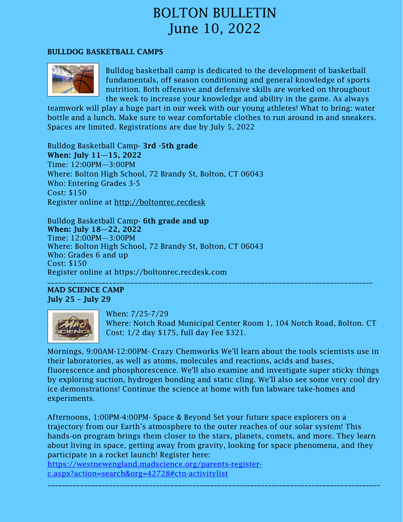### BULLDOG BASKETBALL CAMPS



Bulldog basketball camp is dedicated to the development of basketball fundamentals, off season conditioning and general knowledge of sports nutrition. Both offensive and defensive skills are worked on throughout the week to increase your knowledge and ability in the game. As always

teamwork will play a huge part in our week with our young athletes! What to bring: water bottle and a lunch. Make sure to wear comfortable clothes to run around in and sneakers. Spaces are limited. Registrations are due by July 5, 2022

Bulldog Basketball Camp- 3rd -5th grade When: July 11—15, 2022 Time: 12:00PM—3:00PM Where: Bolton High School, 72 Brandy St, Bolton, CT 06043 Who: Entering Grades 3-5 Cost: \$150 Register online at [http://boltonrec.recdesk](http://boltonrec.recdesk/)

Bulldog Basketball Camp- 6th grade and up When: July 18—22, 2022 Time: 12:00PM—3:00PM Where: Bolton High School, 72 Brandy St, Bolton, CT 06043 Who: Grades 6 and up Cost: \$150 Register online at https://boltonrec.recdesk.com \_\_\_\_\_\_\_\_\_\_\_\_\_\_\_\_\_\_\_\_\_\_\_\_\_\_\_\_\_\_\_\_\_\_\_\_\_\_\_\_\_\_\_\_\_\_\_\_\_\_\_\_\_\_\_\_\_\_\_\_\_\_\_\_\_\_\_\_\_\_\_\_\_\_\_\_\_\_\_\_\_\_\_\_\_\_\_\_\_\_

### MAD SCIENCE CAMP July 25 – July 29



When: 7/25-7/29

Where: Notch Road Municipal Center Room 1, 104 Notch Road, Bolton. CT Cost: 1/2 day \$175, full day Fee \$321.

Mornings, 9:00AM-12:00PM- Crazy Chemworks We'll learn about the tools scientists use in their laboratories, as well as atoms, molecules and reactions, acids and bases, fluorescence and phosphorescence. We'll also examine and investigate super sticky things by exploring suction, hydrogen bonding and static cling. We'll also see some very cool dry ice demonstrations! Continue the science at home with fun labware take-homes and experiments.

Afternoons, 1:00PM-4:00PM- Space & Beyond Set your future space explorers on a trajectory from our Earth's atmosphere to the outer reaches of our solar system! This hands-on program brings them closer to the stars, planets, comets, and more. They learn about living in space, getting away from gravity, looking for space phenomena, and they participate in a rocket launch! Register here:

[https://westnewengland.madscience.org/parents-register](https://westnewengland.madscience.org/parents-register-c.aspx?action=search&org=42728#ctn-activitylist)[c.aspx?action=search&org=42728#ctn-activitylist](https://westnewengland.madscience.org/parents-register-c.aspx?action=search&org=42728#ctn-activitylist)

\_\_\_\_\_\_\_\_\_\_\_\_\_\_\_\_\_\_\_\_\_\_\_\_\_\_\_\_\_\_\_\_\_\_\_\_\_\_\_\_\_\_\_\_\_\_\_\_\_\_\_\_\_\_\_\_\_\_\_\_\_\_\_\_\_\_\_\_\_\_\_\_\_\_\_\_\_\_\_\_\_\_\_\_\_\_\_\_\_\_\_\_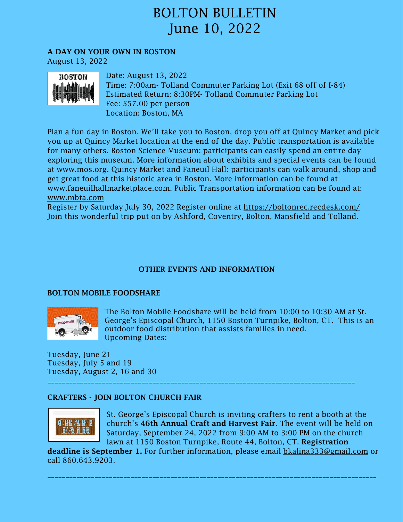A DAY ON YOUR OWN IN BOSTON

August 13, 2022



Date: August 13, 2022 Time: 7:00am- Tolland Commuter Parking Lot (Exit 68 off of I-84) Estimated Return: 8:30PM- Tolland Commuter Parking Lot Fee: \$57.00 per person Location: Boston, MA

Plan a fun day in Boston. We'll take you to Boston, drop you off at Quincy Market and pick you up at Quincy Market location at the end of the day. Public transportation is available for many others. Boston Science Museum: participants can easily spend an entire day exploring this museum. More information about exhibits and special events can be found at www.mos.org. Quincy Market and Faneuil Hall: participants can walk around, shop and get great food at this historic area in Boston. More information can be found at www.faneuilhallmarketplace.com. Public Transportation information can be found at: [www.mbta.com](http://www.mbta.com/)

Register by Saturday July 30, 2022 Register online at<https://boltonrec.recdesk.com/> Join this wonderful trip put on by Ashford, Coventry, Bolton, Mansfield and Tolland.

### <span id="page-5-0"></span>OTHER EVENTS AND INFORMATION

### BOLTON MOBILE FOODSHARE



The Bolton Mobile Foodshare will be held from 10:00 to 10:30 AM at St. George's Episcopal Church, 1150 Boston Turnpike, Bolton, CT. This is an outdoor food distribution that assists families in need. Upcoming Dates:

Tuesday, June 21 Tuesday, July 5 and 19 Tuesday, August 2, 16 and 30

### CRAFTERS - JOIN BOLTON CHURCH FAIR



St. George's Episcopal Church is inviting crafters to rent a booth at the church's 46th Annual Craft and Harvest Fair. The event will be held on Saturday, September 24, 2022 from 9:00 AM to 3:00 PM on the church lawn at 1150 Boston Turnpike, Route 44, Bolton, CT. Registration

deadline is September 1. For further information, please email **[bkalina333@gmail.com](mailto:bkalina333@gmail.com)** or call 860.643.9203.

\_\_\_\_\_\_\_\_\_\_\_\_\_\_\_\_\_\_\_\_\_\_\_\_\_\_\_\_\_\_\_\_\_\_\_\_\_\_\_\_\_\_\_\_\_\_\_\_\_\_\_\_\_\_\_\_\_\_\_\_\_\_\_\_\_\_\_\_\_\_\_\_\_\_\_\_\_\_\_\_\_\_\_\_\_\_\_\_\_\_\_

\_\_\_\_\_\_\_\_\_\_\_\_\_\_\_\_\_\_\_\_\_\_\_\_\_\_\_\_\_\_\_\_\_\_\_\_\_\_\_\_\_\_\_\_\_\_\_\_\_\_\_\_\_\_\_\_\_\_\_\_\_\_\_\_\_\_\_\_\_\_\_\_\_\_\_\_\_\_\_\_\_\_\_\_\_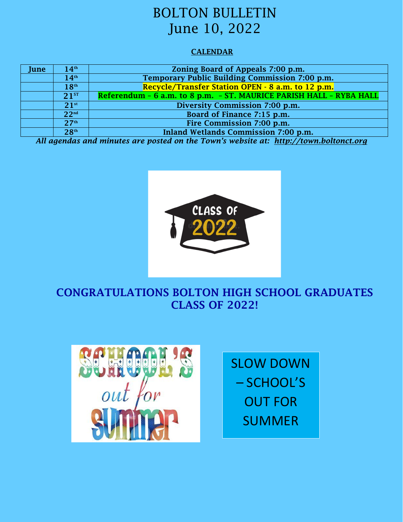### <span id="page-6-0"></span>**CALENDAR**

| June | 14 <sup>th</sup> | Zoning Board of Appeals 7:00 p.m.                                   |
|------|------------------|---------------------------------------------------------------------|
|      | 14 <sup>th</sup> | Temporary Public Building Commission 7:00 p.m.                      |
|      | 18 <sup>th</sup> | Recycle/Transfer Station OPEN - 8 a.m. to 12 p.m.                   |
|      | $21^{ST}$        | Referendum - 6 a.m. to 8 p.m. - ST. MAURICE PARISH HALL - RYBA HALL |
|      | $21^{st}$        | Diversity Commission 7:00 p.m.                                      |
|      | 22 <sup>nd</sup> | Board of Finance 7:15 p.m.                                          |
|      | 27 <sup>th</sup> | Fire Commission 7:00 p.m.                                           |
|      | 28 <sup>th</sup> | Inland Wetlands Commission 7:00 p.m.                                |

*All agendas and minutes are posted on the Town's website at: http://town.boltonct.org*



### CONGRATULATIONS BOLTON HIGH SCHOOL GRADUATES CLASS OF 2022!



SLOW DOWN – SCHOOL'S OUT FOR SUMMER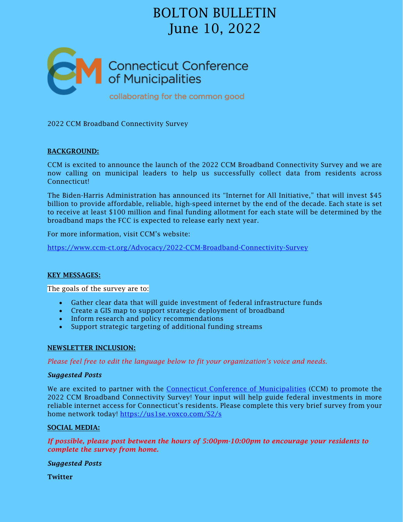<span id="page-7-0"></span>

2022 CCM Broadband Connectivity Survey

### BACKGROUND:

CCM is excited to announce the launch of the 2022 CCM Broadband Connectivity Survey and we are now calling on municipal leaders to help us successfully collect data from residents across Connecticut!

The Biden-Harris Administration has announced its "Internet for All Initiative," that will invest \$45 billion to provide affordable, reliable, high-speed internet by the end of the decade. Each state is set to receive at least \$100 million and final funding allotment for each state will be determined by the broadband maps the FCC is expected to release early next year.

For more information, visit CCM's website:

<https://www.ccm-ct.org/Advocacy/2022-CCM-Broadband-Connectivity-Survey>

### KEY MESSAGES:

The goals of the survey are to:

- Gather clear data that will guide investment of federal infrastructure funds
- Create a GIS map to support strategic deployment of broadband
- Inform research and policy recommendations
- Support strategic targeting of additional funding streams

### NEWSLETTER INCLUSION:

*Please feel free to edit the language below to fit your organization's voice and needs.*

### *Suggested Posts*

We are excited to partner with the [Connecticut Conference of Municipalities](https://www.ccm-ct.org/Advocacy/2022-CCM-Broadband-Connectivity-Survey) (CCM) to promote the 2022 CCM Broadband Connectivity Survey! Your input will help guide federal investments in more reliable internet access for Connecticut's residents. Please complete this very brief survey from your home network today!<https://us1se.voxco.com/S2/s>

### SOCIAL MEDIA:

*If possible, please post between the hours of 5:00pm-10:00pm to encourage your residents to complete the survey from home.* 

#### *Suggested Posts*

Twitter